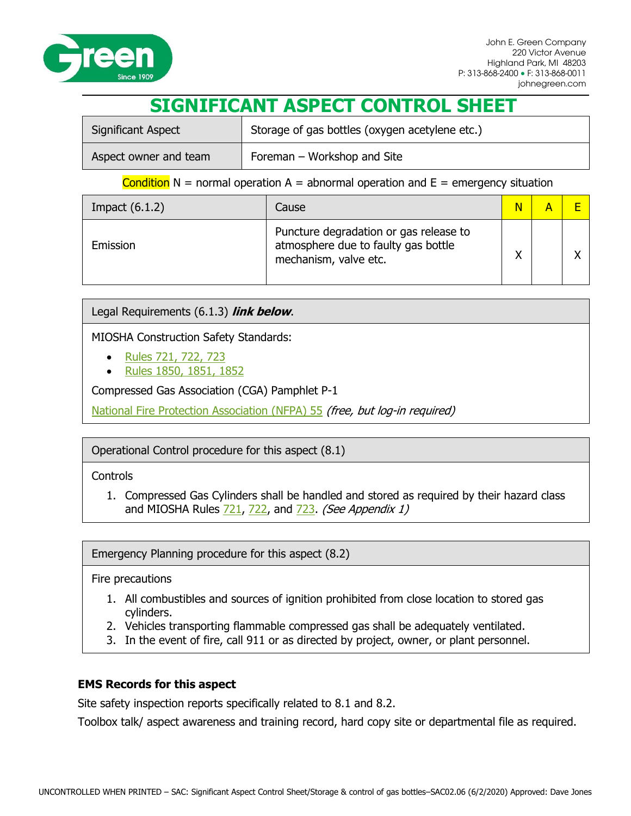

# **SIGNIFICANT ASPECT CONTROL SHEET**

| Significant Aspect    | Storage of gas bottles (oxygen acetylene etc.) |  |
|-----------------------|------------------------------------------------|--|
| Aspect owner and team | Foreman – Workshop and Site                    |  |

### Condition  $N =$  normal operation  $A =$  abnormal operation and  $E =$  emergency situation

| Impact $(6.1.2)$ | Cause                                                                                                  | $\overline{\mathsf{N}}$ |  |
|------------------|--------------------------------------------------------------------------------------------------------|-------------------------|--|
| Emission         | Puncture degradation or gas release to<br>atmosphere due to faulty gas bottle<br>mechanism, valve etc. | $\checkmark$            |  |

Legal Requirements (6.1.3) **link below**.

MIOSHA Construction Safety Standards:

- [Rules 721, 722, 723](http://michigan.gov/documents/CIS_WSH_CS_Part_7__Welding_and_Cutting_Summary_163223_7.pdf)
- [Rules 1850, 1851, 1852](http://www.michigan.gov/documents/cis/CIS_WSH_CS_Part_18_Fire_Protection_and_Prevention_Detail_201089_7.pdf)

Compressed Gas Association (CGA) Pamphlet P-1

[National Fire Protection Association \(NFPA\) 55](http://www.nfpa.org/codes-and-standards/document-information-pages?mode=code&code=55) (free, but log-in required)

# Operational Control procedure for this aspect (8.1)

### **Controls**

1. Compressed Gas Cylinders shall be handled and stored as required by their hazard class and MIOSHA Rules  $721, 722$ , and  $723$ . (See Appendix 1)

Emergency Planning procedure for this aspect (8.2)

Fire precautions

- 1. All combustibles and sources of ignition prohibited from close location to stored gas cylinders.
- 2. Vehicles transporting flammable compressed gas shall be adequately ventilated.
- 3. In the event of fire, call 911 or as directed by project, owner, or plant personnel.

# **EMS Records for this aspect**

Site safety inspection reports specifically related to 8.1 and 8.2.

Toolbox talk/ aspect awareness and training record, hard copy site or departmental file as required.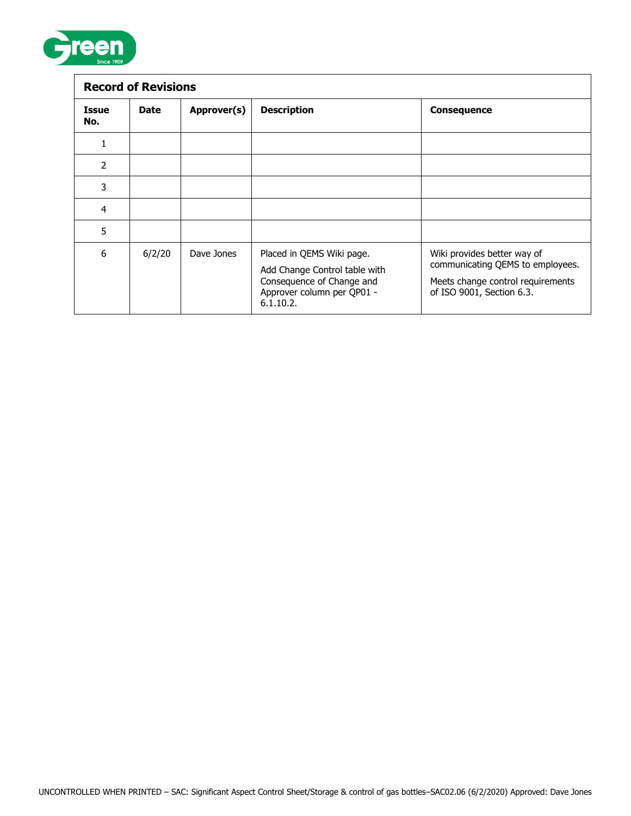

| <b>Record of Revisions</b> |             |             |                                                                                                                                    |                                                                                                                                   |  |  |
|----------------------------|-------------|-------------|------------------------------------------------------------------------------------------------------------------------------------|-----------------------------------------------------------------------------------------------------------------------------------|--|--|
| <b>Issue</b><br>No.        | <b>Date</b> | Approver(s) | <b>Description</b>                                                                                                                 | <b>Consequence</b>                                                                                                                |  |  |
|                            |             |             |                                                                                                                                    |                                                                                                                                   |  |  |
| 2                          |             |             |                                                                                                                                    |                                                                                                                                   |  |  |
| 3                          |             |             |                                                                                                                                    |                                                                                                                                   |  |  |
| $\overline{a}$             |             |             |                                                                                                                                    |                                                                                                                                   |  |  |
| 5                          |             |             |                                                                                                                                    |                                                                                                                                   |  |  |
| 6                          | 6/2/20      | Dave Jones  | Placed in QEMS Wiki page.<br>Add Change Control table with<br>Consequence of Change and<br>Approver column per QP01 -<br>6.1.10.2. | Wiki provides better way of<br>communicating QEMS to employees.<br>Meets change control requirements<br>of ISO 9001, Section 6.3. |  |  |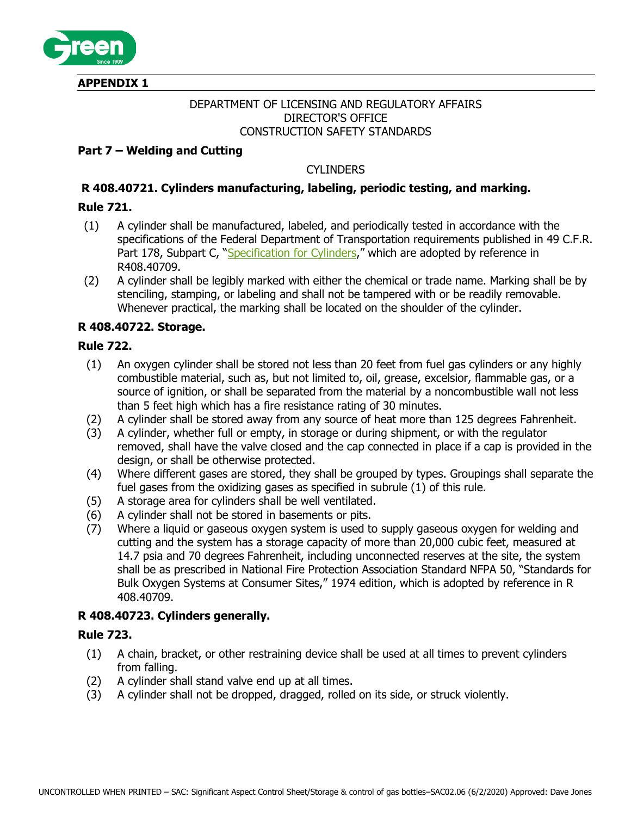

**APPENDIX 1**

### DEPARTMENT OF LICENSING AND REGULATORY AFFAIRS DIRECTOR'S OFFICE CONSTRUCTION SAFETY STANDARDS

# **Part 7 – Welding and Cutting**

# **CYLINDERS**

# **R 408.40721. Cylinders manufacturing, labeling, periodic testing, and marking.**

# <span id="page-2-0"></span>**Rule 721.**

- (1) A cylinder shall be manufactured, labeled, and periodically tested in accordance with the specifications of the Federal Department of Transportation requirements published in 49 C.F.R. Part 178, Subpart C, ["Specification for Cylinders,](https://www.osha.gov/pls/oshaweb/owadisp.show_document?p_id=10696&p_table=STANDARDS)" which are adopted by reference in R408.40709.
- (2) A cylinder shall be legibly marked with either the chemical or trade name. Marking shall be by stenciling, stamping, or labeling and shall not be tampered with or be readily removable. Whenever practical, the marking shall be located on the shoulder of the cylinder.

# **R 408.40722. Storage.**

### **Rule 722.**

- (1) An oxygen cylinder shall be stored not less than 20 feet from fuel gas cylinders or any highly combustible material, such as, but not limited to, oil, grease, excelsior, flammable gas, or a source of ignition, or shall be separated from the material by a noncombustible wall not less than 5 feet high which has a fire resistance rating of 30 minutes.
- (2) A cylinder shall be stored away from any source of heat more than 125 degrees Fahrenheit.
- (3) A cylinder, whether full or empty, in storage or during shipment, or with the regulator removed, shall have the valve closed and the cap connected in place if a cap is provided in the design, or shall be otherwise protected.
- (4) Where different gases are stored, they shall be grouped by types. Groupings shall separate the fuel gases from the oxidizing gases as specified in subrule (1) of this rule.
- (5) A storage area for cylinders shall be well ventilated.
- (6) A cylinder shall not be stored in basements or pits.
- (7) Where a liquid or gaseous oxygen system is used to supply gaseous oxygen for welding and cutting and the system has a storage capacity of more than 20,000 cubic feet, measured at 14.7 psia and 70 degrees Fahrenheit, including unconnected reserves at the site, the system shall be as prescribed in National Fire Protection Association Standard NFPA 50, "Standards for Bulk Oxygen Systems at Consumer Sites," 1974 edition, which is adopted by reference in R 408.40709.

# **R 408.40723. Cylinders generally.**

### <span id="page-2-1"></span>**Rule 723.**

- (1) A chain, bracket, or other restraining device shall be used at all times to prevent cylinders from falling.
- (2) A cylinder shall stand valve end up at all times.
- (3) A cylinder shall not be dropped, dragged, rolled on its side, or struck violently.